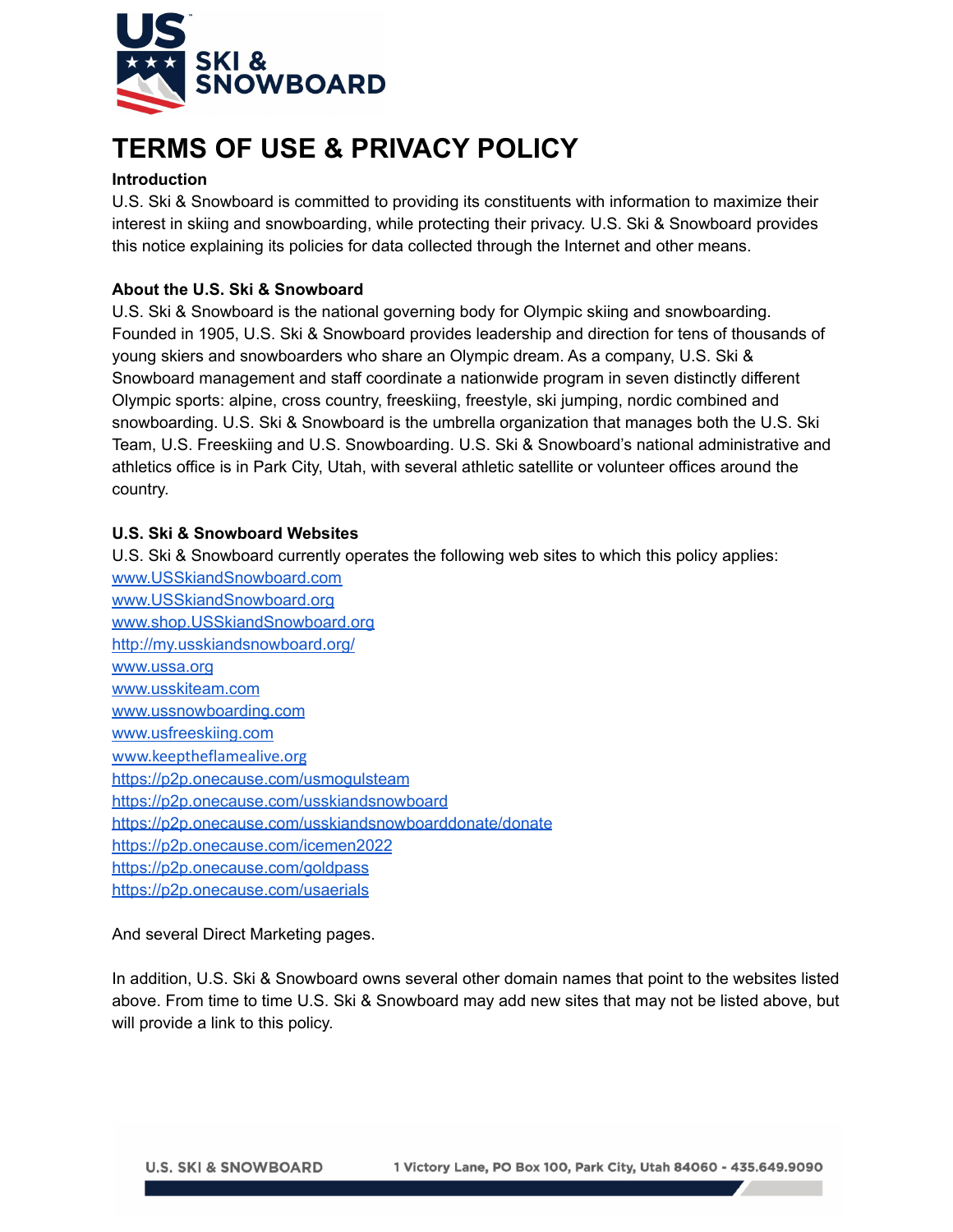

# **TERMS OF USE & PRIVACY POLICY**

# **Introduction**

U.S. Ski & Snowboard is committed to providing its constituents with information to maximize their interest in skiing and snowboarding, while protecting their privacy. U.S. Ski & Snowboard provides this notice explaining its policies for data collected through the Internet and other means.

# **About the U.S. Ski & Snowboard**

U.S. Ski & Snowboard is the national governing body for Olympic skiing and snowboarding. Founded in 1905, U.S. Ski & Snowboard provides leadership and direction for tens of thousands of young skiers and snowboarders who share an Olympic dream. As a company, U.S. Ski & Snowboard management and staff coordinate a nationwide program in seven distinctly different Olympic sports: alpine, cross country, freeskiing, freestyle, ski jumping, nordic combined and snowboarding. U.S. Ski & Snowboard is the umbrella organization that manages both the U.S. Ski Team, U.S. Freeskiing and U.S. Snowboarding. U.S. Ski & Snowboard's national administrative and athletics office is in Park City, Utah, with several athletic satellite or volunteer offices around the country.

# **U.S. Ski & Snowboard Websites**

U.S. Ski & Snowboard currently operates the following web sites to which this policy applies: [www.USSkiandSnowboard.com](https://usskiandsnowboard.org/) [www.USSkiandSnowboard.org](http://www.usskiandsnowboard.org) [www.shop.USSkiandSnowboard.org](https://shop.usskiandsnowboard.org) [http://my.usskiandsnowboard.org/](http://my.ussa.org/) [www.ussa.org](http://ussa.org/) [www.usskiteam.com](http://usskiteam.com/) [www.ussnowboarding.com](http://ussnowboarding.com/) [www.usfreeskiing.com](http://usfreeskiing.com/) [www.keeptheflamealive.org](https://p2p.onecause.com/keeptheflamealive) <https://p2p.onecause.com/usmogulsteam> <https://p2p.onecause.com/usskiandsnowboard> <https://p2p.onecause.com/usskiandsnowboarddonate/donate> <https://p2p.onecause.com/icemen2022> <https://p2p.onecause.com/goldpass> <https://p2p.onecause.com/usaerials>

And several Direct Marketing pages.

In addition, U.S. Ski & Snowboard owns several other domain names that point to the websites listed above. From time to time U.S. Ski & Snowboard may add new sites that may not be listed above, but will provide a link to this policy.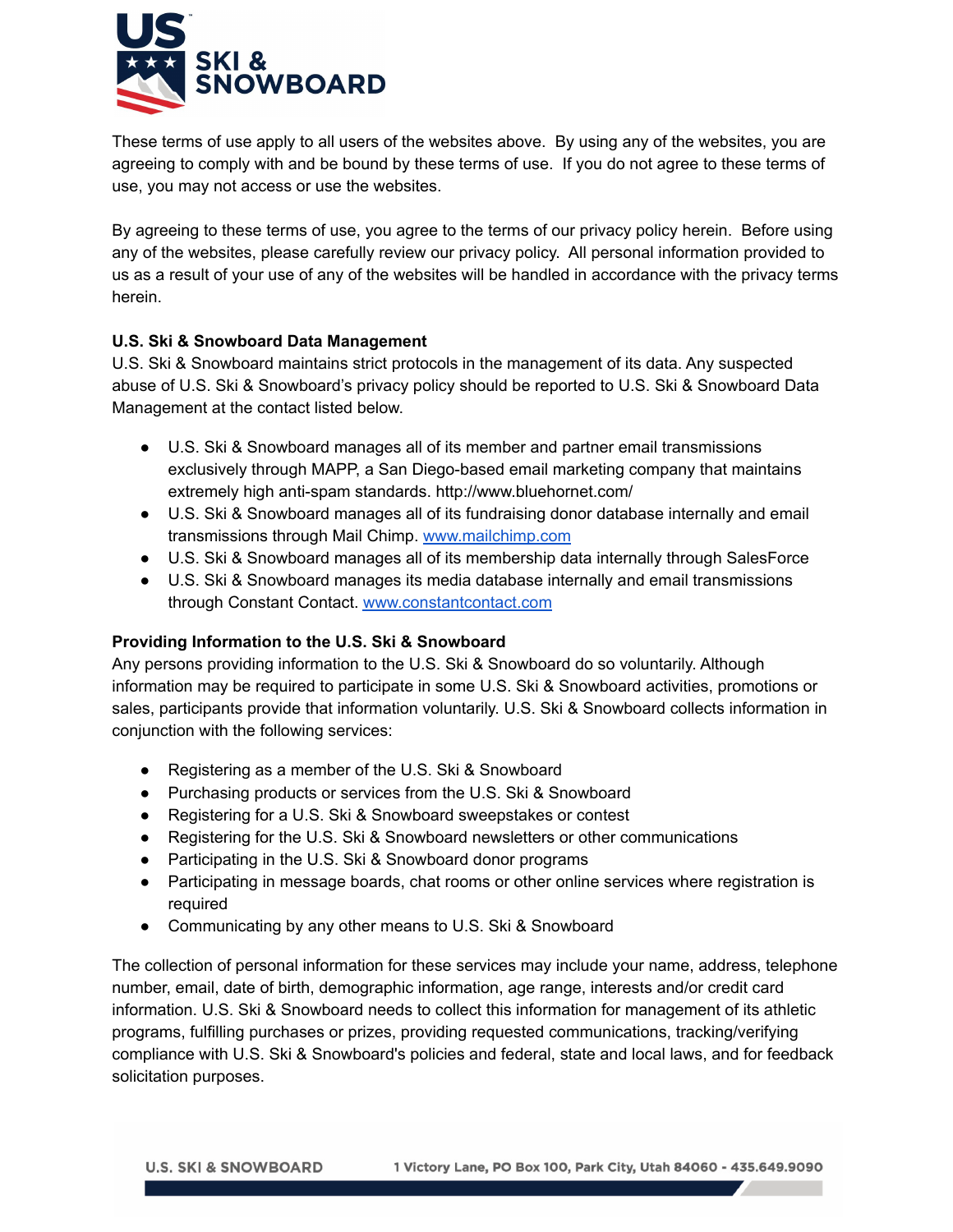

These terms of use apply to all users of the websites above. By using any of the websites, you are agreeing to comply with and be bound by these terms of use. If you do not agree to these terms of use, you may not access or use the websites.

By agreeing to these terms of use, you agree to the terms of our privacy policy herein. Before using any of the websites, please carefully review our privacy policy. All personal information provided to us as a result of your use of any of the websites will be handled in accordance with the privacy terms herein.

# **U.S. Ski & Snowboard Data Management**

U.S. Ski & Snowboard maintains strict protocols in the management of its data. Any suspected abuse of U.S. Ski & Snowboard's privacy policy should be reported to U.S. Ski & Snowboard Data Management at the contact listed below.

- U.S. Ski & Snowboard manages all of its member and partner email transmissions exclusively through MAPP, a San Diego-based email marketing company that maintains extremely high anti-spam standards. http://www.bluehornet.com/
- U.S. Ski & Snowboard manages all of its fundraising donor database internally and email transmissions through Mail Chimp. [www.mailchimp.com](http://www.mailchimp.com)
- U.S. Ski & Snowboard manages all of its membership data internally through SalesForce
- U.S. Ski & Snowboard manages its media database internally and email transmissions through Constant Contact. [www.constantcontact.com](http://www.constantcontact.com)

## **Providing Information to the U.S. Ski & Snowboard**

Any persons providing information to the U.S. Ski & Snowboard do so voluntarily. Although information may be required to participate in some U.S. Ski & Snowboard activities, promotions or sales, participants provide that information voluntarily. U.S. Ski & Snowboard collects information in conjunction with the following services:

- Registering as a member of the U.S. Ski & Snowboard
- Purchasing products or services from the U.S. Ski & Snowboard
- Registering for a U.S. Ski & Snowboard sweepstakes or contest
- Registering for the U.S. Ski & Snowboard newsletters or other communications
- Participating in the U.S. Ski & Snowboard donor programs
- Participating in message boards, chat rooms or other online services where registration is required
- Communicating by any other means to U.S. Ski & Snowboard

The collection of personal information for these services may include your name, address, telephone number, email, date of birth, demographic information, age range, interests and/or credit card information. U.S. Ski & Snowboard needs to collect this information for management of its athletic programs, fulfilling purchases or prizes, providing requested communications, tracking/verifying compliance with U.S. Ski & Snowboard's policies and federal, state and local laws, and for feedback solicitation purposes.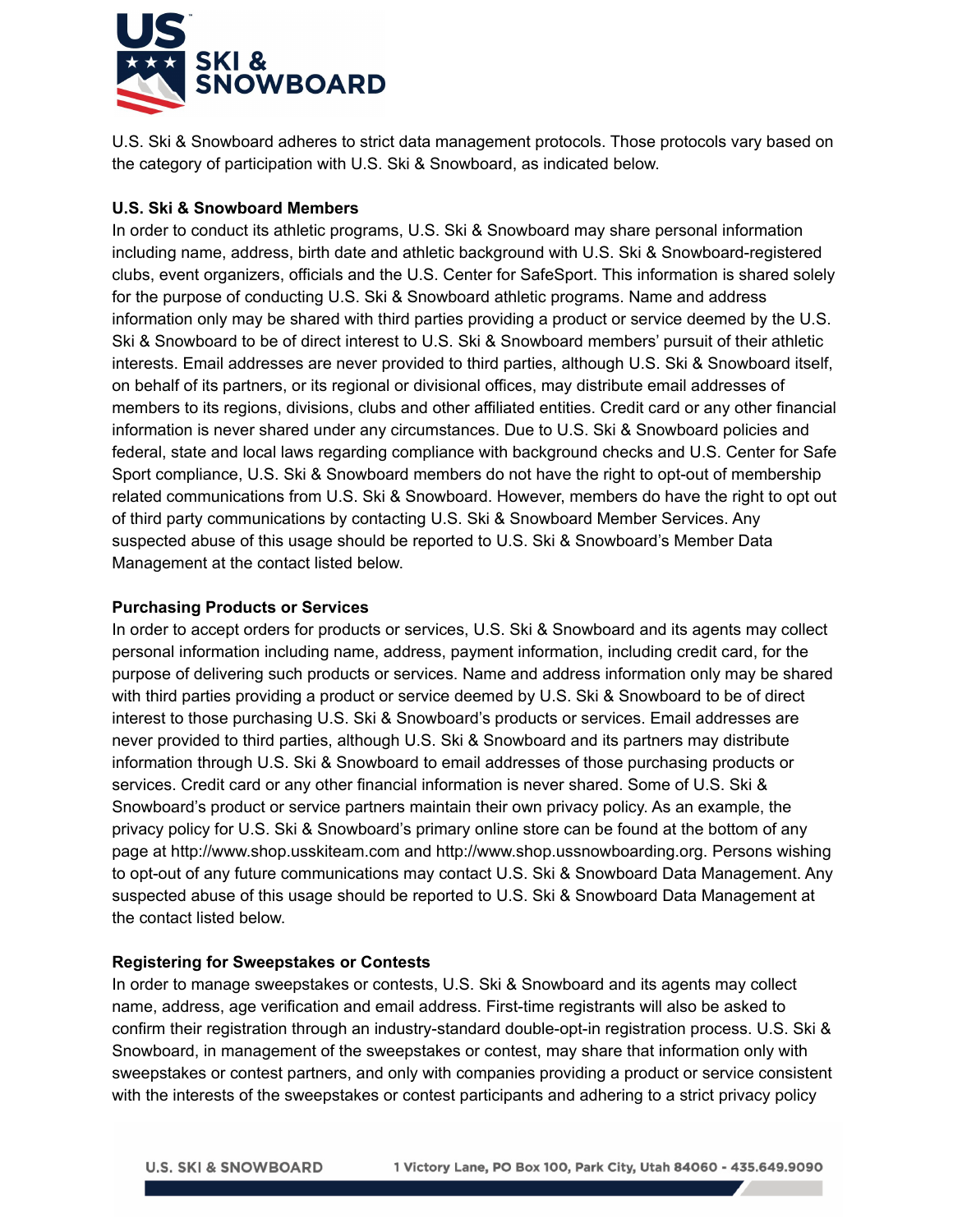

U.S. Ski & Snowboard adheres to strict data management protocols. Those protocols vary based on the category of participation with U.S. Ski & Snowboard, as indicated below.

# **U.S. Ski & Snowboard Members**

In order to conduct its athletic programs, U.S. Ski & Snowboard may share personal information including name, address, birth date and athletic background with U.S. Ski & Snowboard-registered clubs, event organizers, officials and the U.S. Center for SafeSport. This information is shared solely for the purpose of conducting U.S. Ski & Snowboard athletic programs. Name and address information only may be shared with third parties providing a product or service deemed by the U.S. Ski & Snowboard to be of direct interest to U.S. Ski & Snowboard members' pursuit of their athletic interests. Email addresses are never provided to third parties, although U.S. Ski & Snowboard itself, on behalf of its partners, or its regional or divisional offices, may distribute email addresses of members to its regions, divisions, clubs and other affiliated entities. Credit card or any other financial information is never shared under any circumstances. Due to U.S. Ski & Snowboard policies and federal, state and local laws regarding compliance with background checks and U.S. Center for Safe Sport compliance, U.S. Ski & Snowboard members do not have the right to opt-out of membership related communications from U.S. Ski & Snowboard. However, members do have the right to opt out of third party communications by contacting U.S. Ski & Snowboard Member Services. Any suspected abuse of this usage should be reported to U.S. Ski & Snowboard's Member Data Management at the contact listed below.

# **Purchasing Products or Services**

In order to accept orders for products or services, U.S. Ski & Snowboard and its agents may collect personal information including name, address, payment information, including credit card, for the purpose of delivering such products or services. Name and address information only may be shared with third parties providing a product or service deemed by U.S. Ski & Snowboard to be of direct interest to those purchasing U.S. Ski & Snowboard's products or services. Email addresses are never provided to third parties, although U.S. Ski & Snowboard and its partners may distribute information through U.S. Ski & Snowboard to email addresses of those purchasing products or services. Credit card or any other financial information is never shared. Some of U.S. Ski & Snowboard's product or service partners maintain their own privacy policy. As an example, the privacy policy for U.S. Ski & Snowboard's primary online store can be found at the bottom of any page at http://www.shop.usskiteam.com and http://www.shop.ussnowboarding.org. Persons wishing to opt-out of any future communications may contact U.S. Ski & Snowboard Data Management. Any suspected abuse of this usage should be reported to U.S. Ski & Snowboard Data Management at the contact listed below.

# **Registering for Sweepstakes or Contests**

In order to manage sweepstakes or contests, U.S. Ski & Snowboard and its agents may collect name, address, age verification and email address. First-time registrants will also be asked to confirm their registration through an industry-standard double-opt-in registration process. U.S. Ski & Snowboard, in management of the sweepstakes or contest, may share that information only with sweepstakes or contest partners, and only with companies providing a product or service consistent with the interests of the sweepstakes or contest participants and adhering to a strict privacy policy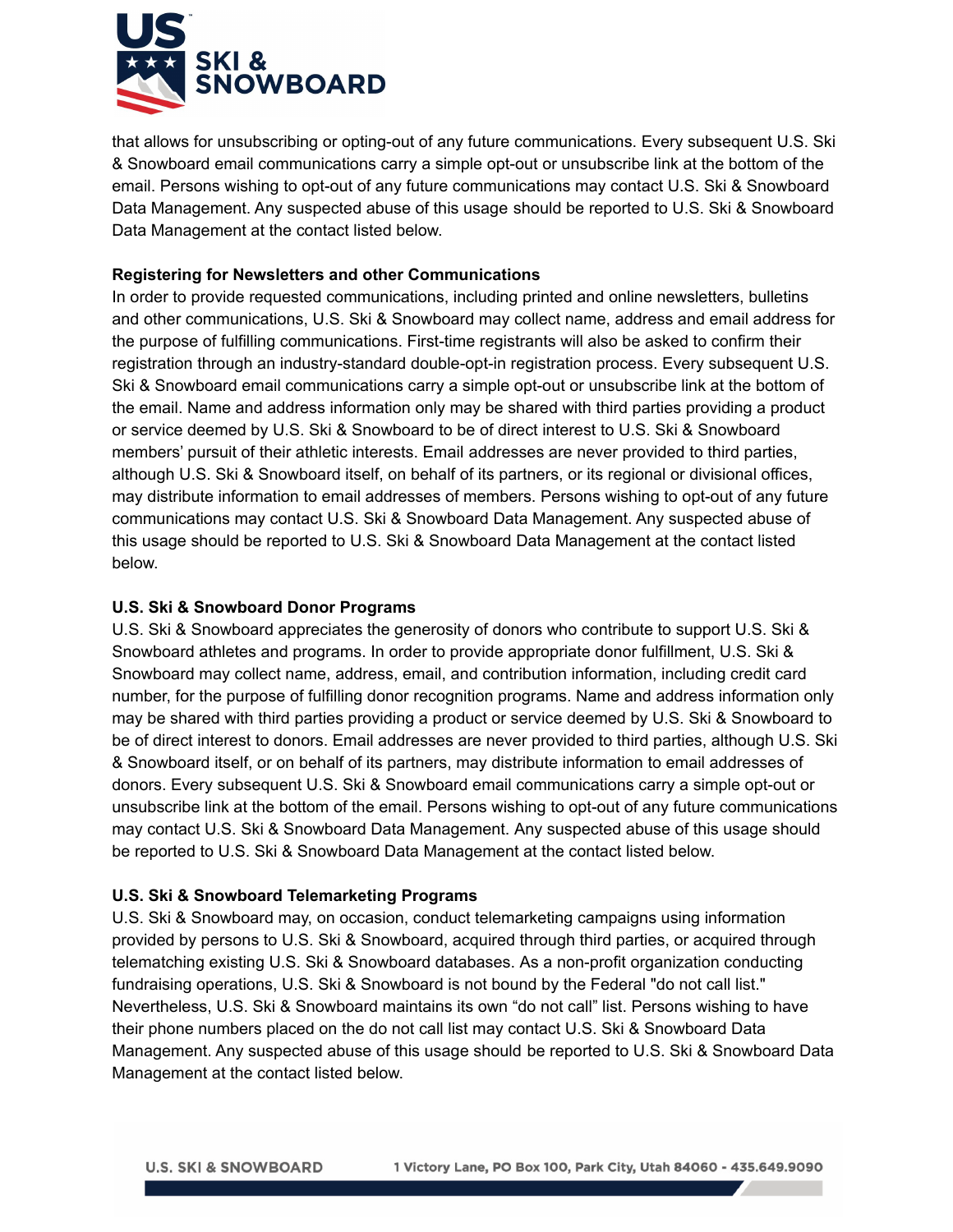

that allows for unsubscribing or opting-out of any future communications. Every subsequent U.S. Ski & Snowboard email communications carry a simple opt-out or unsubscribe link at the bottom of the email. Persons wishing to opt-out of any future communications may contact U.S. Ski & Snowboard Data Management. Any suspected abuse of this usage should be reported to U.S. Ski & Snowboard Data Management at the contact listed below.

# **Registering for Newsletters and other Communications**

In order to provide requested communications, including printed and online newsletters, bulletins and other communications, U.S. Ski & Snowboard may collect name, address and email address for the purpose of fulfilling communications. First-time registrants will also be asked to confirm their registration through an industry-standard double-opt-in registration process. Every subsequent U.S. Ski & Snowboard email communications carry a simple opt-out or unsubscribe link at the bottom of the email. Name and address information only may be shared with third parties providing a product or service deemed by U.S. Ski & Snowboard to be of direct interest to U.S. Ski & Snowboard members' pursuit of their athletic interests. Email addresses are never provided to third parties, although U.S. Ski & Snowboard itself, on behalf of its partners, or its regional or divisional offices, may distribute information to email addresses of members. Persons wishing to opt-out of any future communications may contact U.S. Ski & Snowboard Data Management. Any suspected abuse of this usage should be reported to U.S. Ski & Snowboard Data Management at the contact listed below.

# **U.S. Ski & Snowboard Donor Programs**

U.S. Ski & Snowboard appreciates the generosity of donors who contribute to support U.S. Ski & Snowboard athletes and programs. In order to provide appropriate donor fulfillment, U.S. Ski & Snowboard may collect name, address, email, and contribution information, including credit card number, for the purpose of fulfilling donor recognition programs. Name and address information only may be shared with third parties providing a product or service deemed by U.S. Ski & Snowboard to be of direct interest to donors. Email addresses are never provided to third parties, although U.S. Ski & Snowboard itself, or on behalf of its partners, may distribute information to email addresses of donors. Every subsequent U.S. Ski & Snowboard email communications carry a simple opt-out or unsubscribe link at the bottom of the email. Persons wishing to opt-out of any future communications may contact U.S. Ski & Snowboard Data Management. Any suspected abuse of this usage should be reported to U.S. Ski & Snowboard Data Management at the contact listed below.

# **U.S. Ski & Snowboard Telemarketing Programs**

U.S. Ski & Snowboard may, on occasion, conduct telemarketing campaigns using information provided by persons to U.S. Ski & Snowboard, acquired through third parties, or acquired through telematching existing U.S. Ski & Snowboard databases. As a non-profit organization conducting fundraising operations, U.S. Ski & Snowboard is not bound by the Federal "do not call list." Nevertheless, U.S. Ski & Snowboard maintains its own "do not call" list. Persons wishing to have their phone numbers placed on the do not call list may contact U.S. Ski & Snowboard Data Management. Any suspected abuse of this usage should be reported to U.S. Ski & Snowboard Data Management at the contact listed below.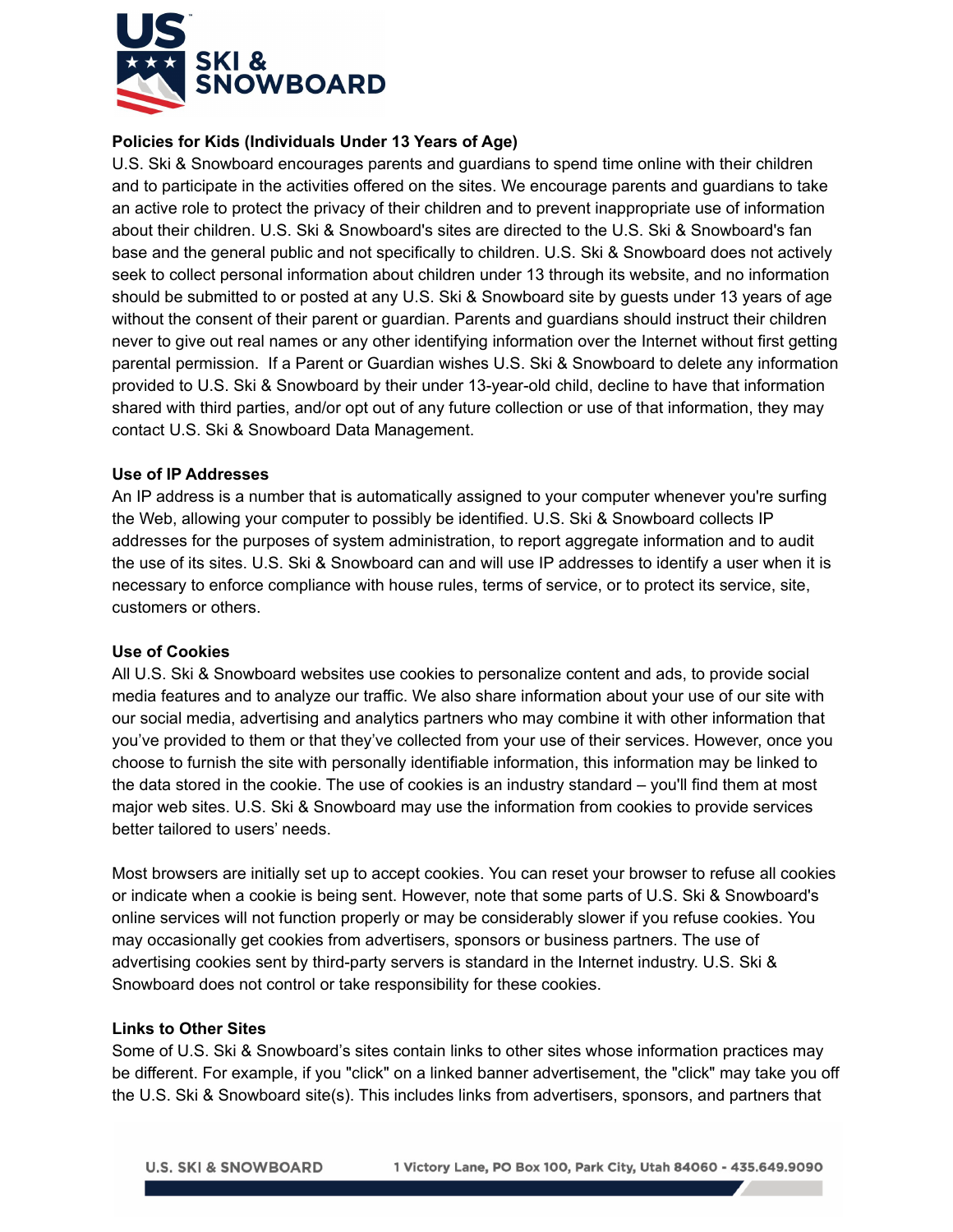

# **Policies for Kids (Individuals Under 13 Years of Age)**

U.S. Ski & Snowboard encourages parents and guardians to spend time online with their children and to participate in the activities offered on the sites. We encourage parents and guardians to take an active role to protect the privacy of their children and to prevent inappropriate use of information about their children. U.S. Ski & Snowboard's sites are directed to the U.S. Ski & Snowboard's fan base and the general public and not specifically to children. U.S. Ski & Snowboard does not actively seek to collect personal information about children under 13 through its website, and no information should be submitted to or posted at any U.S. Ski & Snowboard site by guests under 13 years of age without the consent of their parent or guardian. Parents and guardians should instruct their children never to give out real names or any other identifying information over the Internet without first getting parental permission. If a Parent or Guardian wishes U.S. Ski & Snowboard to delete any information provided to U.S. Ski & Snowboard by their under 13-year-old child, decline to have that information shared with third parties, and/or opt out of any future collection or use of that information, they may contact U.S. Ski & Snowboard Data Management.

## **Use of IP Addresses**

An IP address is a number that is automatically assigned to your computer whenever you're surfing the Web, allowing your computer to possibly be identified. U.S. Ski & Snowboard collects IP addresses for the purposes of system administration, to report aggregate information and to audit the use of its sites. U.S. Ski & Snowboard can and will use IP addresses to identify a user when it is necessary to enforce compliance with house rules, terms of service, or to protect its service, site, customers or others.

## **Use of Cookies**

All U.S. Ski & Snowboard websites use cookies to personalize content and ads, to provide social media features and to analyze our traffic. We also share information about your use of our site with our social media, advertising and analytics partners who may combine it with other information that you've provided to them or that they've collected from your use of their services. However, once you choose to furnish the site with personally identifiable information, this information may be linked to the data stored in the cookie. The use of cookies is an industry standard – you'll find them at most major web sites. U.S. Ski & Snowboard may use the information from cookies to provide services better tailored to users' needs.

Most browsers are initially set up to accept cookies. You can reset your browser to refuse all cookies or indicate when a cookie is being sent. However, note that some parts of U.S. Ski & Snowboard's online services will not function properly or may be considerably slower if you refuse cookies. You may occasionally get cookies from advertisers, sponsors or business partners. The use of advertising cookies sent by third-party servers is standard in the Internet industry. U.S. Ski & Snowboard does not control or take responsibility for these cookies.

#### **Links to Other Sites**

Some of U.S. Ski & Snowboard's sites contain links to other sites whose information practices may be different. For example, if you "click" on a linked banner advertisement, the "click" may take you off the U.S. Ski & Snowboard site(s). This includes links from advertisers, sponsors, and partners that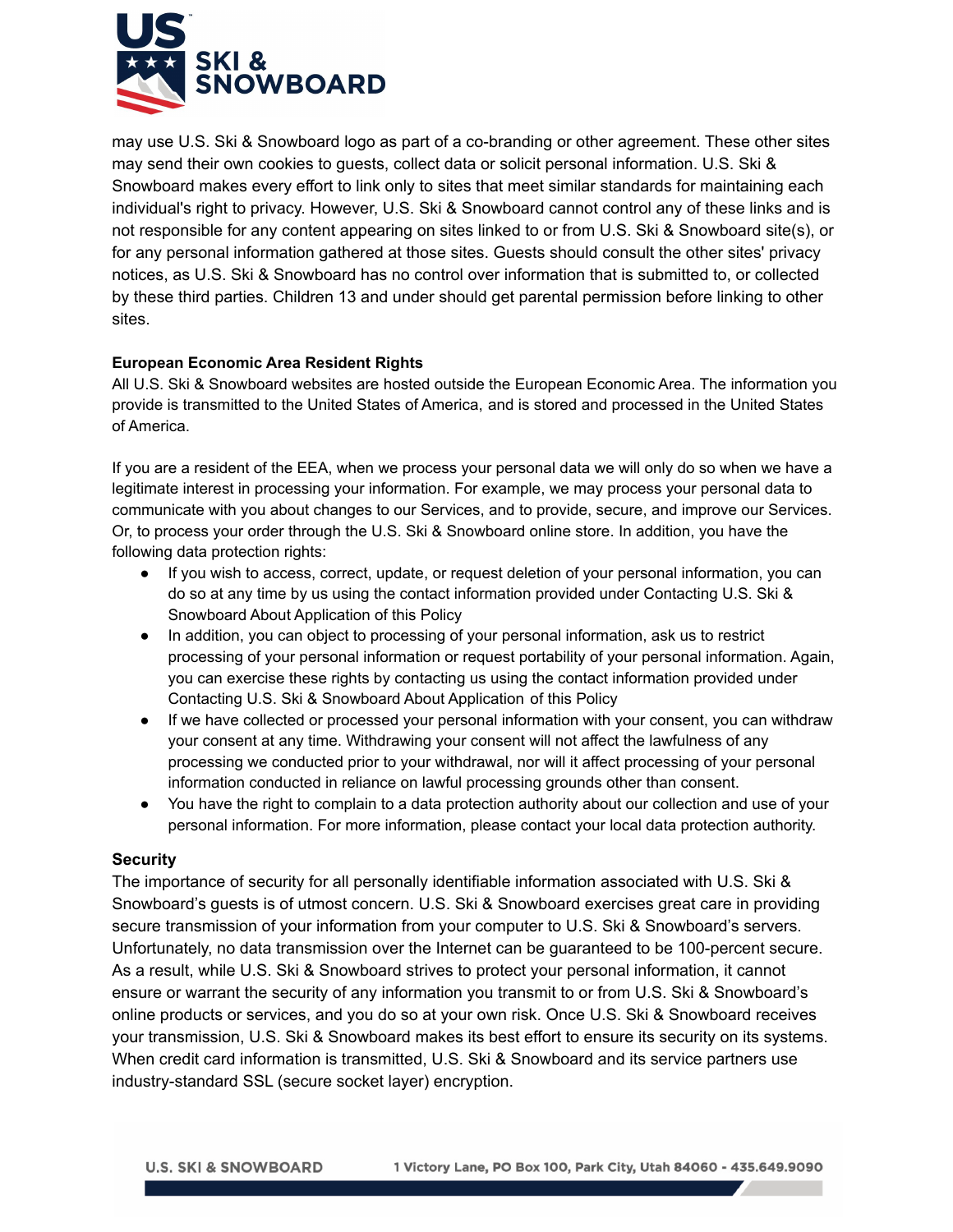

may use U.S. Ski & Snowboard logo as part of a co-branding or other agreement. These other sites may send their own cookies to guests, collect data or solicit personal information. U.S. Ski & Snowboard makes every effort to link only to sites that meet similar standards for maintaining each individual's right to privacy. However, U.S. Ski & Snowboard cannot control any of these links and is not responsible for any content appearing on sites linked to or from U.S. Ski & Snowboard site(s), or for any personal information gathered at those sites. Guests should consult the other sites' privacy notices, as U.S. Ski & Snowboard has no control over information that is submitted to, or collected by these third parties. Children 13 and under should get parental permission before linking to other sites.

## **European Economic Area Resident Rights**

All U.S. Ski & Snowboard websites are hosted outside the European Economic Area. The information you provide is transmitted to the United States of America, and is stored and processed in the United States of America.

If you are a resident of the EEA, when we process your personal data we will only do so when we have a legitimate interest in processing your information. For example, we may process your personal data to communicate with you about changes to our Services, and to provide, secure, and improve our Services. Or, to process your order through the U.S. Ski & Snowboard online store. In addition, you have the following data protection rights:

- If you wish to access, correct, update, or request deletion of your personal information, you can do so at any time by us using the contact information provided under Contacting U.S. Ski & Snowboard About Application of this Policy
- In addition, you can object to processing of your personal information, ask us to restrict processing of your personal information or request portability of your personal information. Again, you can exercise these rights by contacting us using the contact information provided under Contacting U.S. Ski & Snowboard About Application of this Policy
- If we have collected or processed your personal information with your consent, you can withdraw your consent at any time. Withdrawing your consent will not affect the lawfulness of any processing we conducted prior to your withdrawal, nor will it affect processing of your personal information conducted in reliance on lawful processing grounds other than consent.
- You have the right to complain to a data protection authority about our collection and use of your personal information. For more information, please contact your local data protection authority.

## **Security**

The importance of security for all personally identifiable information associated with U.S. Ski & Snowboard's guests is of utmost concern. U.S. Ski & Snowboard exercises great care in providing secure transmission of your information from your computer to U.S. Ski & Snowboard's servers. Unfortunately, no data transmission over the Internet can be guaranteed to be 100-percent secure. As a result, while U.S. Ski & Snowboard strives to protect your personal information, it cannot ensure or warrant the security of any information you transmit to or from U.S. Ski & Snowboard's online products or services, and you do so at your own risk. Once U.S. Ski & Snowboard receives your transmission, U.S. Ski & Snowboard makes its best effort to ensure its security on its systems. When credit card information is transmitted, U.S. Ski & Snowboard and its service partners use industry-standard SSL (secure socket layer) encryption.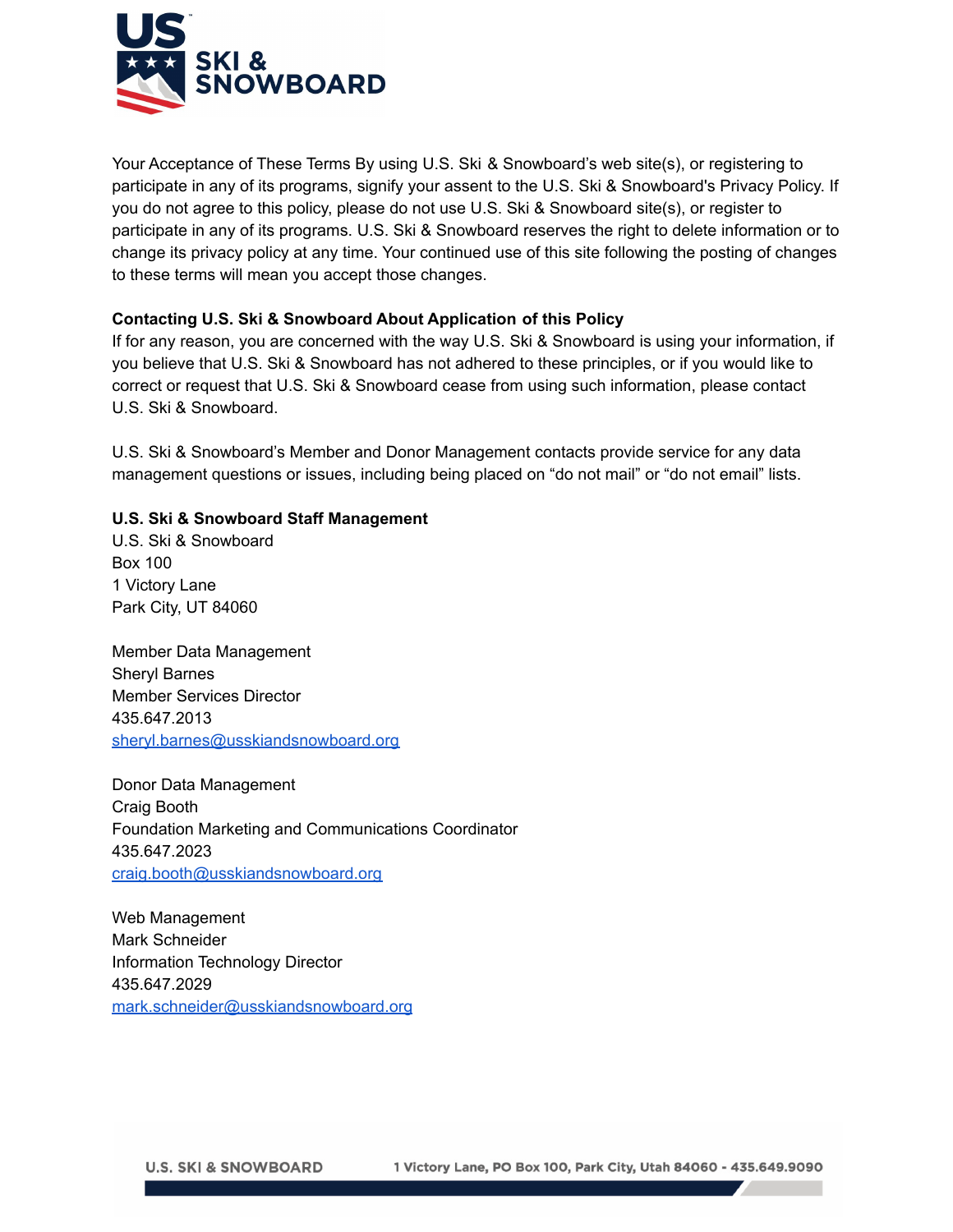

 Your Acceptance of These Terms By using U.S. Ski & Snowboard's web site(s), or registering to participate in any of its programs, signify your assent to the U.S. Ski & Snowboard's Privacy Policy. If you do not agree to this policy, please do not use U.S. Ski & Snowboard site(s), or register to participate in any of its programs. U.S. Ski & Snowboard reserves the right to delete information or to change its privacy policy at any time. Your continued use of this site following the posting of changes to these terms will mean you accept those changes.

# **Contacting U.S. Ski & Snowboard About Application of this Policy**

If for any reason, you are concerned with the way U.S. Ski & Snowboard is using your information, if you believe that U.S. Ski & Snowboard has not adhered to these principles, or if you would like to correct or request that U.S. Ski & Snowboard cease from using such information, please contact U.S. Ski & Snowboard.

U.S. Ski & Snowboard's Member and Donor Management contacts provide service for any data management questions or issues, including being placed on "do not mail" or "do not email" lists.

# **U.S. Ski & Snowboard Staff Management**

U.S. Ski & Snowboard Box 100 1 Victory Lane Park City, UT 84060

Member Data Management Sheryl Barnes Member Services Director 435.647.2013 [sheryl.barnes@usskiandsnowboard.org](mailto:sheryl.barnes@usskiandsnowboard.org)

Donor Data Management Craig Booth Foundation Marketing and Communications Coordinator 435.647.2023 [craig.booth@usskiandsnowboard.org](mailto:craig.booth@usskiandsnowboard.org)

Web Management Mark Schneider Information Technology Director 435.647.2029 [mark.schneider@usskiandsnowboard.org](mailto:mark.schneider@usskiandsnowboard.org)